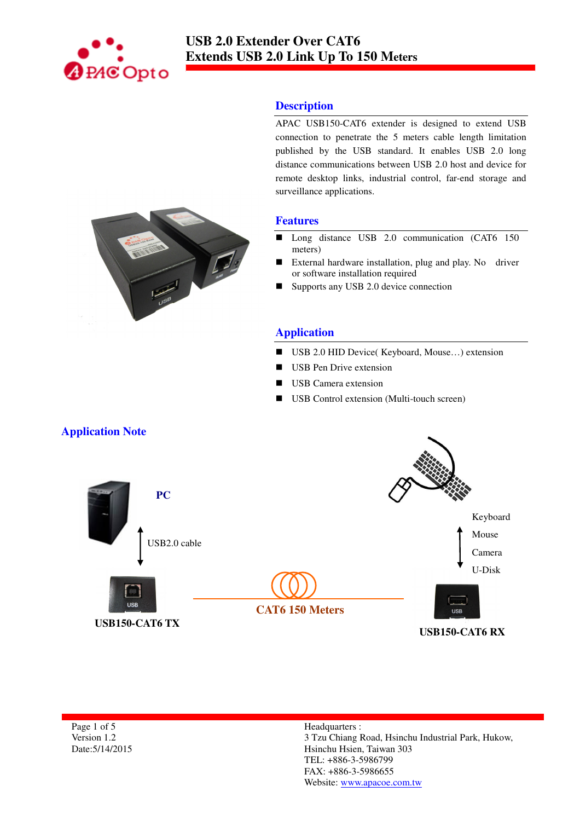

### **Description**

APAC USB150-CAT6 extender is designed to extend USB connection to penetrate the 5 meters cable length limitation published by the USB standard. It enables USB 2.0 long distance communications between USB 2.0 host and device for remote desktop links, industrial control, far-end storage and surveillance applications.

#### **Features**

- Long distance USB 2.0 communication (CAT6 150 meters)
- External hardware installation, plug and play. No driver or software installation required
- Supports any USB 2.0 device connection

# **Application**

- USB 2.0 HID Device( Keyboard, Mouse...) extension
- USB Pen Drive extension
- USB Camera extension
- USB Control extension (Multi-touch screen)



Page 1 of 5 Version 1.2 Date:5/14/2015

#### Headquarters : 3 Tzu Chiang Road, Hsinchu Industrial Park, Hukow, Hsinchu Hsien, Taiwan 303 TEL: +886-3-5986799 FAX: +886-3-5986655 Website: www.apacoe.com.tw

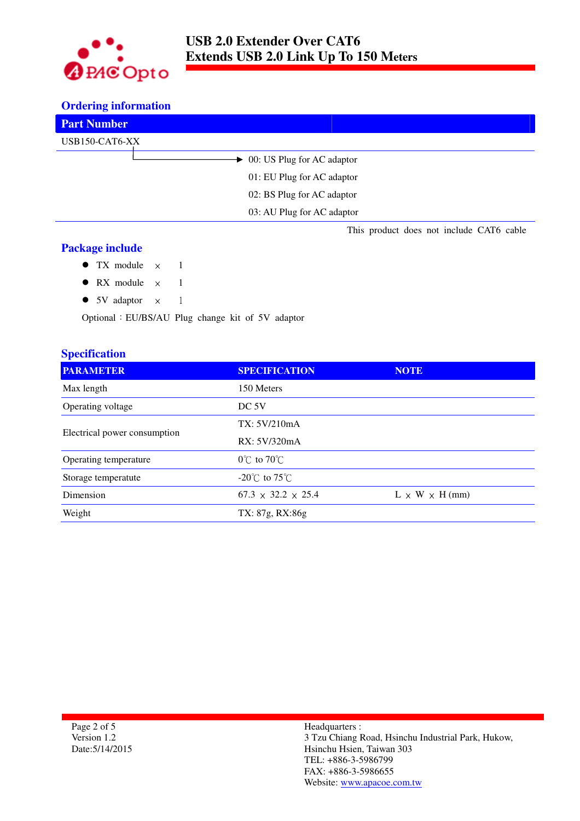

#### **Ordering information**

| <b>Part Number</b>                       |
|------------------------------------------|
| USB150-CAT6-XX                           |
| $\rightarrow$ 00: US Plug for AC adaptor |
| 01: EU Plug for AC adaptor               |
| 02: BS Plug for AC adaptor               |
| 03: AU Plug for AC adaptor               |
| This product does not include CAT6 cable |

### **Package include**

- $\bullet$  TX module  $\times$  1
- RX module  $\times$  1
- 5V adaptor  $\times$  1

Optional:EU/BS/AU Plug change kit of 5V adaptor

# **Specification**

| <b>PARAMETER</b>             | <b>SPECIFICATION</b>               | <b>NOTE</b>                |
|------------------------------|------------------------------------|----------------------------|
| Max length                   | 150 Meters                         |                            |
| Operating voltage            | DC 5V                              |                            |
| Electrical power consumption | TX: 5V/210mA                       |                            |
|                              | RX: 5V/320mA                       |                            |
| Operating temperature        | $0^{\circ}$ C to $70^{\circ}$ C    |                            |
| Storage temperatute          | $-20^{\circ}$ C to 75 $^{\circ}$ C |                            |
| Dimension                    | $67.3 \times 32.2 \times 25.4$     | $L \times W \times H$ (mm) |
| Weight                       | TX: 87g, RX:86g                    |                            |

Page 2 of 5 Version 1.2 Date:5/14/2015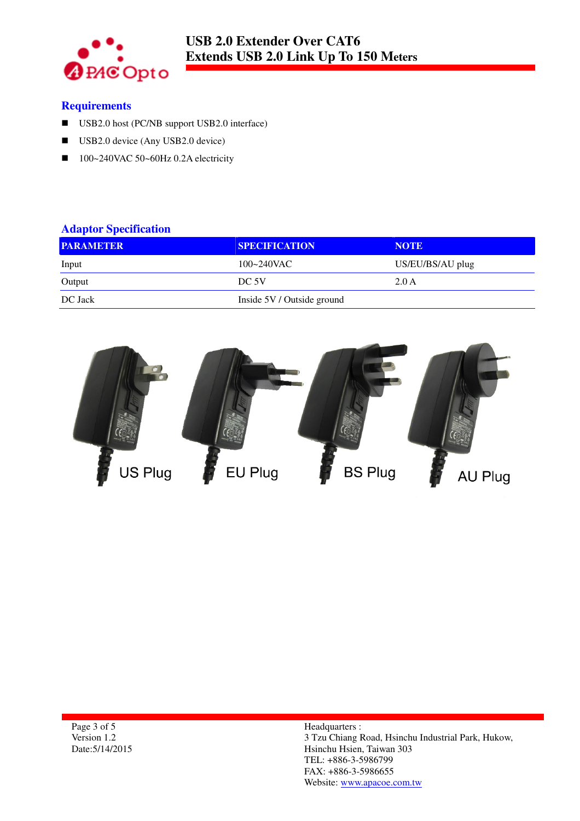

### **Requirements**

- USB2.0 host (PC/NB support USB2.0 interface)
- USB2.0 device (Any USB2.0 device)
- $100~240$ VAC 50~60Hz 0.2A electricity

# **Adaptor Specification**

| <b>PARAMETER</b> | <b>SPECIFICATION</b>       | <b>NOTE</b>      |
|------------------|----------------------------|------------------|
| Input            | $100 - 240$ VAC            | US/EU/BS/AU plug |
| Output           | DC 5V                      | 2.0A             |
| DC Jack          | Inside 5V / Outside ground |                  |

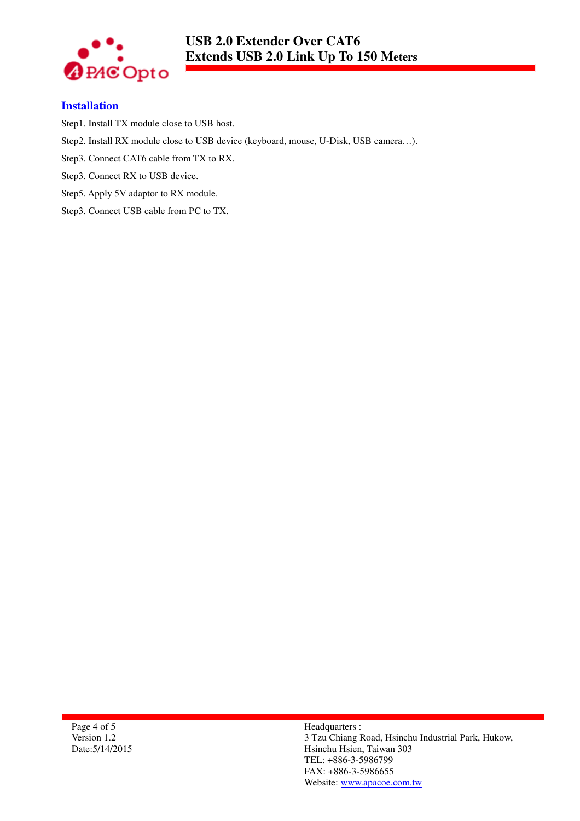

## **Installation**

Step1. Install TX module close to USB host.

- Step2. Install RX module close to USB device (keyboard, mouse, U-Disk, USB camera…).
- Step3. Connect CAT6 cable from TX to RX.
- Step3. Connect RX to USB device.
- Step5. Apply 5V adaptor to RX module.
- Step3. Connect USB cable from PC to TX.

Page 4 of 5 Version 1.2 Date:5/14/2015 Headquarters : 3 Tzu Chiang Road, Hsinchu Industrial Park, Hukow, Hsinchu Hsien, Taiwan 303 TEL: +886-3-5986799 FAX: +886-3-5986655 Website: www.apacoe.com.tw